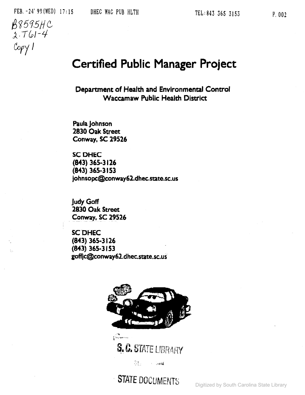$\mathbb{1}_\mathbb{N}$ 

# **Certified Public Manager Project**

**Department of Health and Environmental Control Waccamaw Public Health District**

**Paula Johnson 2830 Oak Street Conway. SC 29526**

**SCDHEC (843) 365-3 126 (843) 365-3153** johnsopc@conway62.dhec.state.sc.us

**Judy Goff 2830 Oak Street** Conw~y, **SC 29526**

**SCDHEC (843) 365·3126 (843) 365..3153 goffjc@conway62.dhec.state.sc.us**



S. C. STATE LIBRARY

 $25.7344$ 

STATE DOCUMENTS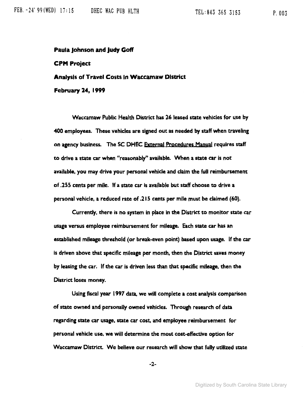#### Paula Johnson and Judy Goff

#### CPM Project

### Analysis of Travel Costs in Waccamaw District

February 24, 1999

Waccamaw Public Health District has 26 leased state vehicles for use by 400 employees. These vehicles are signed out as needed by staff when traveling on agency business. The SC DHEC External Procedures Manual requires staff to drive a state car when "reasonably" available. When a state car is not available, you may drive your personal vehicle and claim the full reimbursement of .255 cents per mile. If a state car Is available but staff choose to drive a personal vehicle, a reduced rate of .21 S cents per mile must be claimed (60).

Currently, there is no system in place in the District to monitor state car usage versus employee reimbursement for mileage. Each State car has an established mileage threshold (or break-even point) based upon usage. If the car is driven above that specific mileage per month. then the Oistrict saves money by leasing the car. If the car is driven less than that specific mileage, then the District loses money.

Using fiscal year 1991 data, we will complete a cost analysis comparison of state owned and personally owned vehicles. Through research of data regarding state car usage, state car cost, and employee reimbursement for personal vehicle use, we will determine the most cost-effective option for Waccamaw District. We believe our research will show that fully utilized state

-2-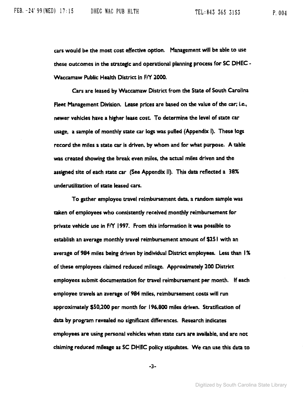ars would be the most cost effective option. Management will be able to use these outcomes in the strategic and operational planning process for SC DHEC - Waccamaw Public Health District in F/Y 2000.

Cars are leased by Waccamaw District from the State of South Carolina Fleet Management DiVision. Lease prices are based on the value of the car; i.e.) newer vehicles have a higher lease cost. To determine the level of state car usage, a sample of monthly state car logs was pulled (Appendix I). These logs record the miles a state car is driven. by whom and for what purpose. A table was created showing the break even miles, the actual miles driven and the assigned site of each state car (See Appendix II). This data reflected a 38% underutilization of state leased cars.

To gather employee travel reimbursement data. a random sample was taken of employees who consistently received monthly reimbursement for private vehicle use in  $f\Lambda$  1997. From this information it was possible to establish an average monthly travel reimbursement amount of \$25 I with an average of 984 miles being driven by individual District employees. Less than 1% of these employees claimed reduced mileage. Approximately 200 District employees submit documentation for travel reimbursement per month. If each employee travels an average of 984 miles, reimbursement costs will run apprOXimately \$50,200 per month for 196.800 miles driven. Stratification of data by program revealed no significant differences. Research indicates employees are using personal vehicles when state cars are available. and are not claiming reduced mileage as SC DHEC policy stipUlates. We can use this data to

-3-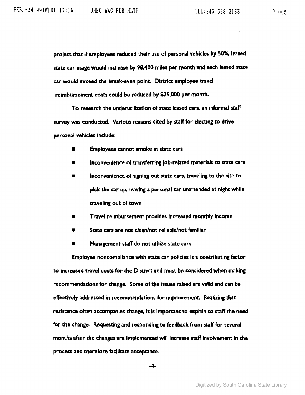project that if employees reduced their use of personal vehicles by 50%, leased state car usage would increase by 98,400 miles per month and each leased state car would exceed the break-even point. District employee travel reimbursement costs could be reduced by \$25,000 per month.

To research the underutilization of state leased cars. an informal staff survey was conducted. Various reasons cited by staff for electing to drive personal vehides include:

- **Employees cannot smoke in state cars**
- Inconvenience of transferring job-related materials to state cars
- $\blacksquare$  Inconvenience of signing out state cars, traveling to the site to pick the car up. leaVing a personal car unattended at night while traveling out of town
- Travel reimbursement provides increased monthly income
- State cars are not clean/not reliable/not familiar
- Management staff do not utilize state cars

Employee noncompliance with state car policies is a contributing factor to increased travel costs for the District and must be considered when making recommendations for change. Some of the issues raised are valid and can be effectively addressed in recommendations for improvement. Realizing that resistance often accompanies change. it is important to explain to staff the need for the change. Requesting and responding to feedback from staff for several months after the changes are imptemented will increase staff involvement in the process and therefore facilitate acceptance.

-4-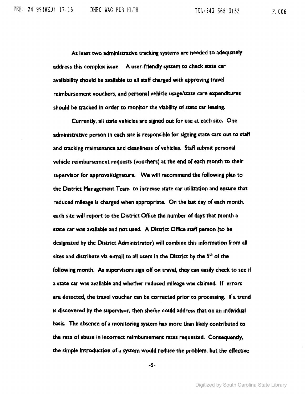At least two administrative tracking systems are needed to adequately address this complex issue. A user-friendly system to check state car availability should be available to all staff charged with approving travel reimbursement vouchers, and personal vehicle usage/state care expenditures should be tracked in order to monitor the Viability of state car leasing.

Currently, all state vehicles are signed out for use at each site. One administrative person in each site is responsible for signing state cars out to staff and tracking maintenance and cleanliness of vehicles. Staff submit personal vehicle reimbursement requests (vouchers) at the end of each month to their supervisor for approval/signature. We will recommend the following plan to the District Management Team to increase state car utilization and ensure that reduced mileage is charged when appropriate. On the last day of each month. each site will report to the District Office the number of days that month a state car was available and not used. A District Office staff person (to be designated by the District Administrator) will combine this information from all sites and distribute via e-mail to all users in the District by the  $5<sup>th</sup>$  of the following month. As supervisors sign off on travel, they can easily check to see if a state car was available and whether reduced mileage was claimed. If errors are detected, the travel voucher can be corrected prior to processins. If a trend is discovered by the supervisor, then she/he could address that on an individual basis. The absence of a monitoring system has more than likely contributed to the rate of abuse in incorrect reimbursement rates requested. Consequendy, the simple introduction of a system would reduce the problem, but the effective

-5-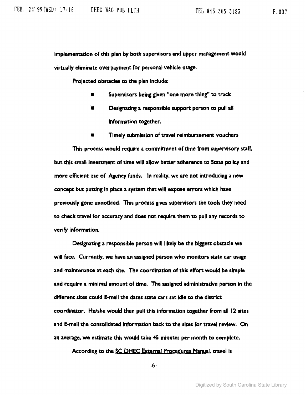implementation of this plan by both supervisors and upper management would virtually eliminate overpayment for personal vehicle usage.

Projected obstacles to the plan Include:

- Supervisors being given "one more thing" to track
- Designating a responsible support person to pull all information together.
- TImely submission of travel reimbursement vouchers

This process would reqUire a commitment of time from supervisory staff, but this small investment of time will allow better adherence to State policy and more efficient use of Agency funds. In reality, we are not introducing a new concept but putting in place a system that will expose errors which have previously gone unnoticed. This process gives supervisors the tools they need to check mvel for accuracy and does not reqUire them to pull any records to verify information.

Designating a responsible person will likely be the biggest obstacle we will face. Currently, we have an assigned person who monitors state car usage and maintenance at each site. The coordination of this effort would be simple and require a minimal amount of time. The assigned administrative person in the different sites could E-mail the dates state cars sat idle to the district coordinator. He/she would then pull this information topther from all 12 sites and E-mail the consolidated information back to the sites for travel review. On an average, we estimate this would take 45 minutes per month to complete.

According to the SC DHEC External Procedures Manyal, travel is

-6-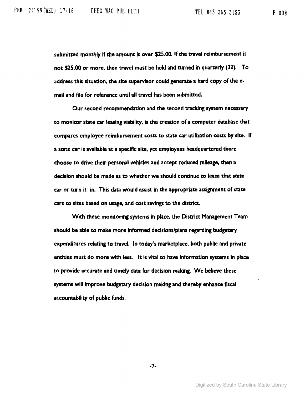submitted monthly if the amount is over \$25.00. If the travel reimbursement is not \$25.00 or more. then travel must be held and turned in quarterly (32). To address this situation. the site supervisor could generate a hard copy of the email and file for reference until all travel has been submitted.

Our second recommendation and the second tracking system necessary to monitor state car leasing viability, is the creation of a computer database that compares employee reimbursement costs to state car utilization costs by site. If a state car is available at a specific site, yet employees headquartered there choose to drive their personal vehicles and accept reduced mileage, then a decision should be made as to whether we should continue to lease that state car or turn it in. This data would assist in the appropriate assignment of state cars to sites based on usage, and cost savings to the district.

With these monitoring systems in place. the District Management Team should be able to make more informed decisions/plans regarding budgetary expenditures relating to travel. In today's marketplace. both public and private entities must do more with less. It is vital to have information systems in place to provide accurate and timely data for decision making. We believe these systems will improve budgetary decision making and thereby enhance fiscal accountability of public funds.

-7-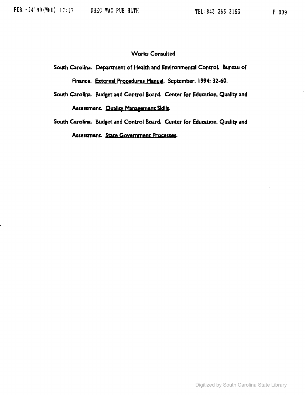## **Works Consulted**

**South Carolina. Department of Health and Environmental Control. Bureau of finance. External Procedures Manual. September, 1994: 32-60.**

**South Carolina. Budget and Control Board. Center for Education. Quality and** Assessment. **Quality Management Skills.** 

**South Carolina. Budget and Control Board. Center for Education. Quality and Assessment. State Government ProCe&3es.**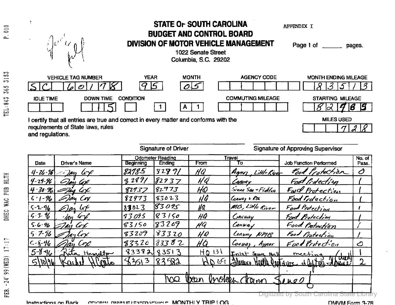| $\frac{0}{10}$<br>p.      | $\left(\mathbf{r}\right)^{\mathrm{T}}$                                                                                                         |                                          | <b>STATE OF SOUTH CAROLINA</b><br>APPENDIX I<br><b>BUDGET AND CONTROL BOARD</b><br><b>DIVISION OF MOTOR VEHICLE MANAGEMENT</b><br>Page 1 of<br>pages.<br>1022 Senate Street<br><b>Columbia, S.C. 29202</b> |                                                  |  |  |  |
|---------------------------|------------------------------------------------------------------------------------------------------------------------------------------------|------------------------------------------|------------------------------------------------------------------------------------------------------------------------------------------------------------------------------------------------------------|--------------------------------------------------|--|--|--|
| S<br>$\frac{1}{2}$<br>565 | <b>VEHICLE TAG NUMBER</b>                                                                                                                      | <b>MONTH</b><br><b>YEAR</b><br>گا        | <b>AGENCY CODE</b>                                                                                                                                                                                         | <b>MONTH ENDING MILEAGE</b><br>ろ<br>ک.<br>$\cup$ |  |  |  |
| 845<br>i.<br>E            | <b>IDLE TIME</b><br><b>DOWN TIME</b>                                                                                                           | <b>CONDITION</b><br>Α                    | <b>COMMUTING MILEAGE</b>                                                                                                                                                                                   | STARTING MILEAGE<br>15<br>16                     |  |  |  |
|                           | I certify that all entries are true and correct in every matter and conforms with the<br>requirements of State laws, rules<br>and regulations. | <b>MILES USED</b>                        |                                                                                                                                                                                                            |                                                  |  |  |  |
|                           |                                                                                                                                                | <b>Signature of Approving Supervisor</b> |                                                                                                                                                                                                            |                                                  |  |  |  |
|                           |                                                                                                                                                | <b>Odometer Reading</b>                  | Travel                                                                                                                                                                                                     | No. of $ $                                       |  |  |  |

|                                 |                            |                  | <b>Odometer Reading</b> |            | Travel                    |                                                                          | No. $of$    |
|---------------------------------|----------------------------|------------------|-------------------------|------------|---------------------------|--------------------------------------------------------------------------|-------------|
| <b>Date</b>                     | Driver's Name              | <b>Beginning</b> | <b>Ending</b>           | From       | Τo                        | <b>Job Function Performed</b>                                            | Pass.       |
|                                 | $4 - 26 - 96$ - $20$<br>47 | 8278-5           | 8289/                   | HQ         | Amy Little River          | Food Protection                                                          | Ò           |
| $4 - 29 - 96$                   | Clay Col                   | 3289/            | 82937                   | HQ         | Canva v                   | Foot Protection                                                          |             |
|                                 | $4.30.96$ = Tay Cox        | 82937            | 82973                   | HQ         | $5$ zeen $56q + 6$ ickleg | Fwd Protection                                                           |             |
| $5.1 - 96$                      | -)an Cov                   | 82973            | 83023                   | 44         | Convay + Pta              | Food Protection                                                          |             |
| $5 - 2 - 96$                    | $\omega$ $\epsilon$        | 83023            | 83095                   | HQ         | MB, Little River          | Food Protection                                                          |             |
| $5 - 3 - 46$                    | $\mu$ tore                 | 93095            | 83150                   | HQ         | Conturry                  | Food Protection                                                          |             |
| $5 - 6 - 96$                    | Col                        | 83150            | 83209                   | HQ         | Convay                    | Food Protection                                                          |             |
| $57 - 96$                       | 1ay Lox                    | 83209            | 83320                   | HQ         | Leavery NMB               | Food Protection                                                          |             |
| $C - \frac{2}{3} - \frac{9}{6}$ | Cvx                        | 83320            | 1833 8 2                | HQ         | Convay, Aypor             | Food Protection                                                          | ے           |
| $5 - 8 - 16$                    | Zita Hamilton              | 83382            | 83513                   | $HQ$ $131$ | Inlet Square Mall         | meeting                                                                  |             |
| 1101961                         | Karry                      | 3513             | 83582                   | MDR        |                           | $N$ ( $\sigma$ $\sigma$<br>Relevence Hearth OpenTarre & Control - town ? | $\mathbf 2$ |
|                                 |                            |                  |                         |            |                           |                                                                          |             |
|                                 |                            |                  | <b>DON</b>              | <b>Von</b> | Unclose Change            | Ines                                                                     |             |
|                                 |                            |                  |                         |            |                           |                                                                          |             |
|                                 |                            |                  |                         |            | DIQItIZEQ                 |                                                                          |             |

 $\blacksquare$ Inctinutions: On Rack including: Diametric response on  $\blacksquare$  and  $\blacksquare$  cases of  $\blacksquare$  or  $\blacksquare$  or  $\blacksquare$  and  $\blacksquare$  or  $\blacksquare$  or  $\blacksquare$  or  $\blacksquare$  or  $\blacksquare$  and  $\blacksquare$  or  $\blacksquare$  and  $\blacksquare$  or  $\blacksquare$  or  $\blacksquare$  or

-- r---

DHEC WAC PUB HLTH

 $\sim$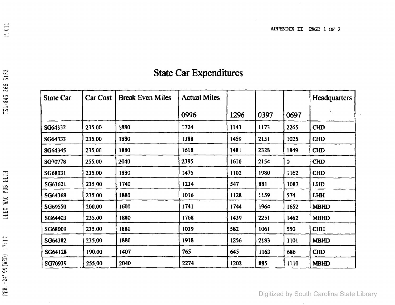$\bullet$ 

| <b>State Car</b> | Car Cost | <b>Break Even Miles</b> | <b>Actual Miles</b> |      |      |             | Headquarters |
|------------------|----------|-------------------------|---------------------|------|------|-------------|--------------|
|                  |          |                         | 0996                | 1296 | 0397 | 0697        |              |
| SG64332          | 235.00   | 1880                    | 1724                | 1143 | 1173 | 2265        | <b>CHD</b>   |
| SG64333          | 235.00   | 1880                    | 1388                | 1459 | 2151 | 1025        | <b>CHD</b>   |
| SG64345          | 235.00   | 1880                    | 1618                | 1481 | 2328 | 1849        | <b>CHD</b>   |
| SG70778          | 255.00   | 2040                    | 2395                | 1610 | 2154 | $\mathbf 0$ | <b>CHD</b>   |
| SG68031          | 235.00   | 1880                    | 1475                | 1102 | 1980 | <b>I162</b> | <b>CHD</b>   |
| SG63621          | 235.00   | 1740                    | 1234                | 547  | 881  | 1087        | <b>LHD</b>   |
| SG64368          | 235.00   | 1880                    | 1016                | 1128 | 1159 | 574         | <b>LHH</b>   |
| SG69550          | 200.00   | 1600                    | 1741                | 1744 | 1964 | 1652        | <b>MBHD</b>  |
| SG64403          | 235.00   | 1880                    | 1768                | 1439 | 2251 | 1462        | <b>MBHD</b>  |
| SG68009          | 235.00   | 1880                    | 1039                | 582  | 1061 | 550         | <b>CHH</b>   |
| SG64382          | 235.00   | 1880                    | 1918                | 1256 | 2183 | 1101        | <b>MBHD</b>  |
| SG64128          | 190.00   | 1407                    | 765                 | 645  | 1163 | 686         | <b>CHD</b>   |
| SG70939          | 255.00   | 2040                    | 2274                | 1202 | 885  | 1110        | <b>MBHD</b>  |